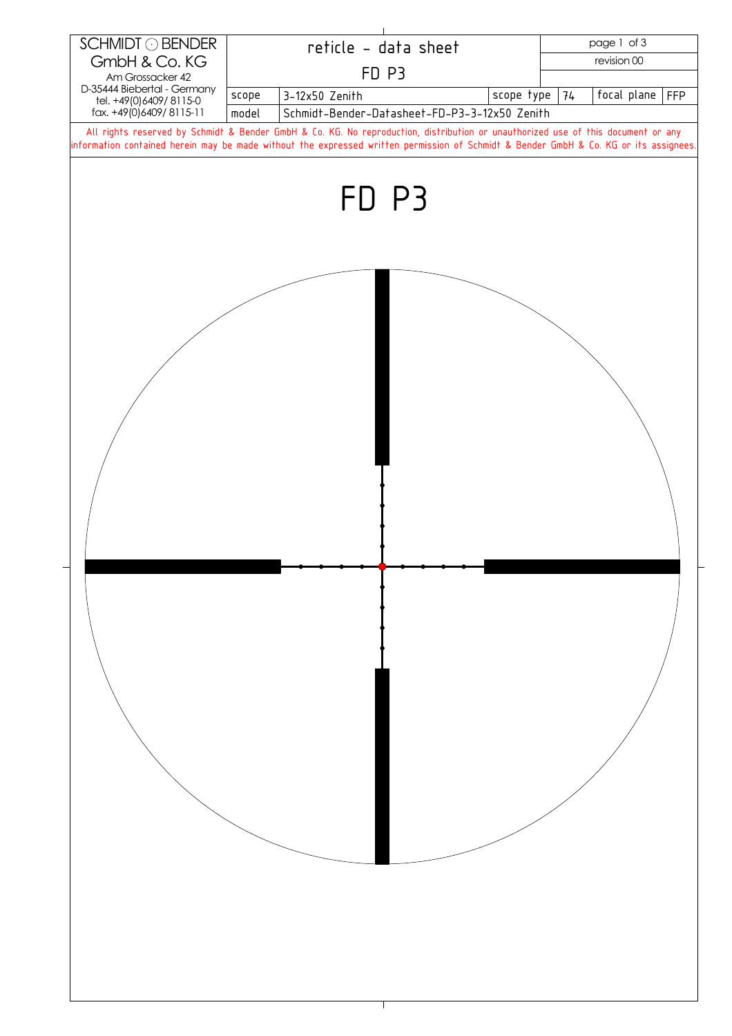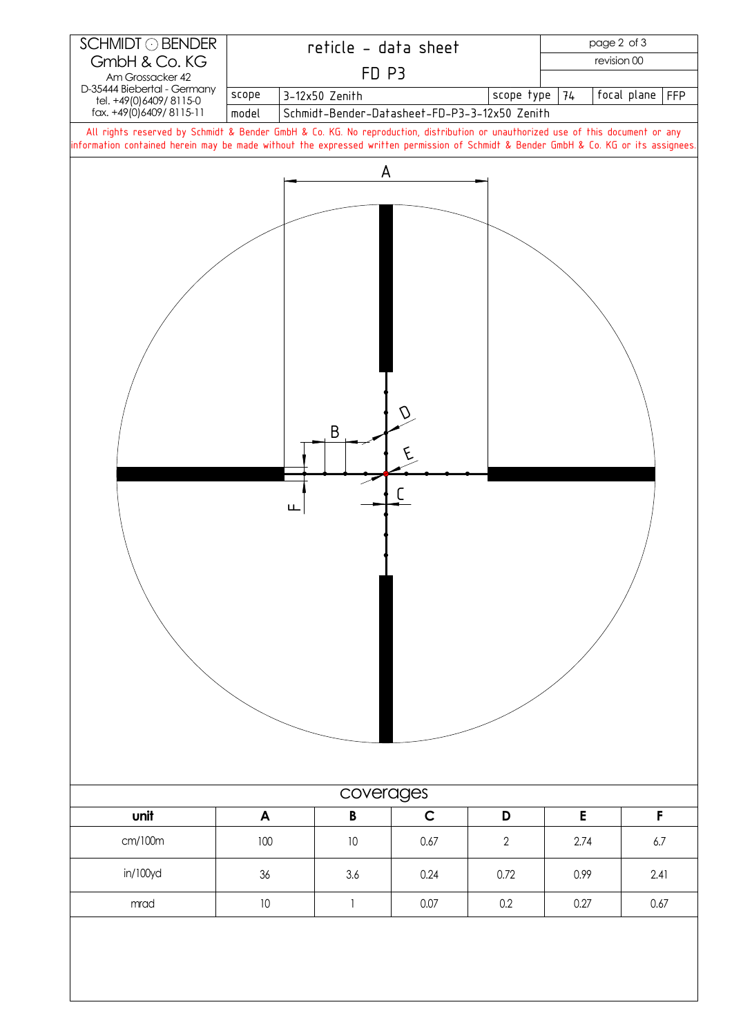